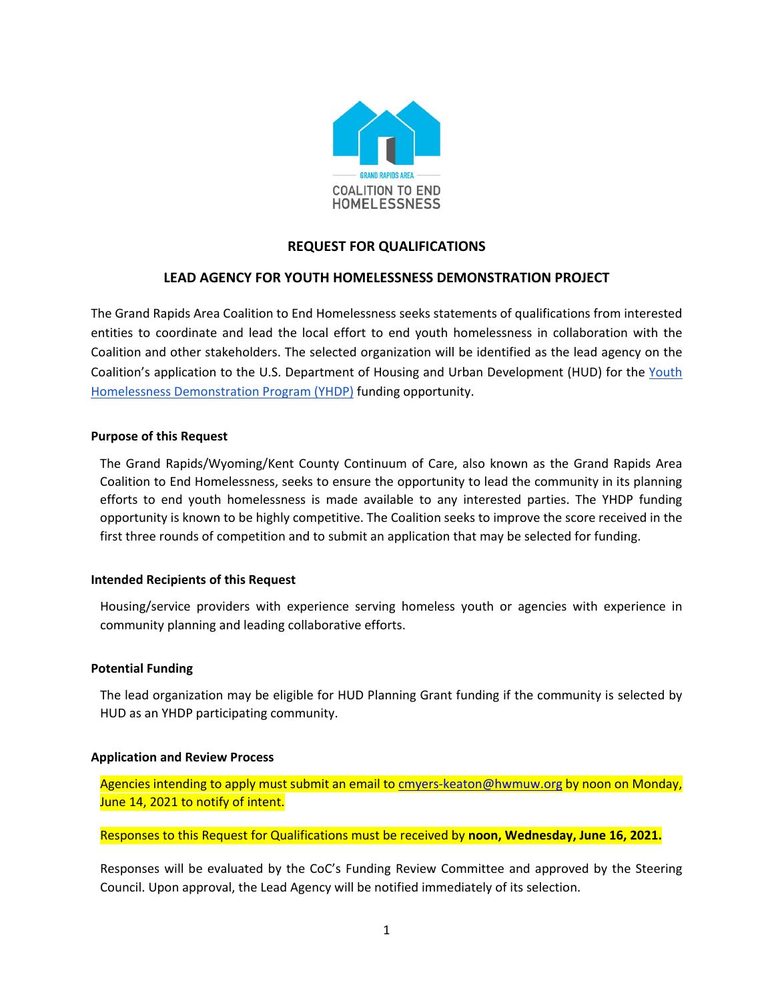

# **REQUEST FOR QUALIFICATIONS**

## **LEAD AGENCY FOR YOUTH HOMELESSNESS DEMONSTRATION PROJECT**

The Grand Rapids Area Coalition to End Homelessness seeks statements of qualifications from interested entities to coordinate and lead the local effort to end youth homelessness in collaboration with the Coalition and other stakeholders. The selected organization will be identified as the lead agency on the Coalition's application to the U.S. Department of Housing and Urban Development (HUD) for th[e](https://www.hudexchange.info/programs/yhdp/) [Youth](https://www.hudexchange.info/programs/yhdp/)  [Homelessness Demonstration Program \(YHDP\)](https://www.hudexchange.info/programs/yhdp/) funding opportunity.

#### **Purpose of this Request**

The Grand Rapids/Wyoming/Kent County Continuum of Care, also known as the Grand Rapids Area Coalition to End Homelessness, seeks to ensure the opportunity to lead the community in its planning efforts to end youth homelessness is made available to any interested parties. The YHDP funding opportunity is known to be highly competitive. The Coalition seeks to improve the score received in the first three rounds of competition and to submit an application that may be selected for funding.

#### **Intended Recipients of this Request**

Housing/service providers with experience serving homeless youth or agencies with experience in community planning and leading collaborative efforts.

#### **Potential Funding**

The lead organization may be eligible for HUD Planning Grant funding if the community is selected by HUD as an YHDP participating community.

#### **Application and Review Process**

Agencies intending to apply must submit an email to **cmyers-keaton@hwmuw.org** by noon on Monday, June 14, 2021 to notify of intent.

#### Responses to this Request for Qualifications must be received by **noon, Wednesday, June 16, 2021.**

Responses will be evaluated by the CoC's Funding Review Committee and approved by the Steering Council. Upon approval, the Lead Agency will be notified immediately of its selection.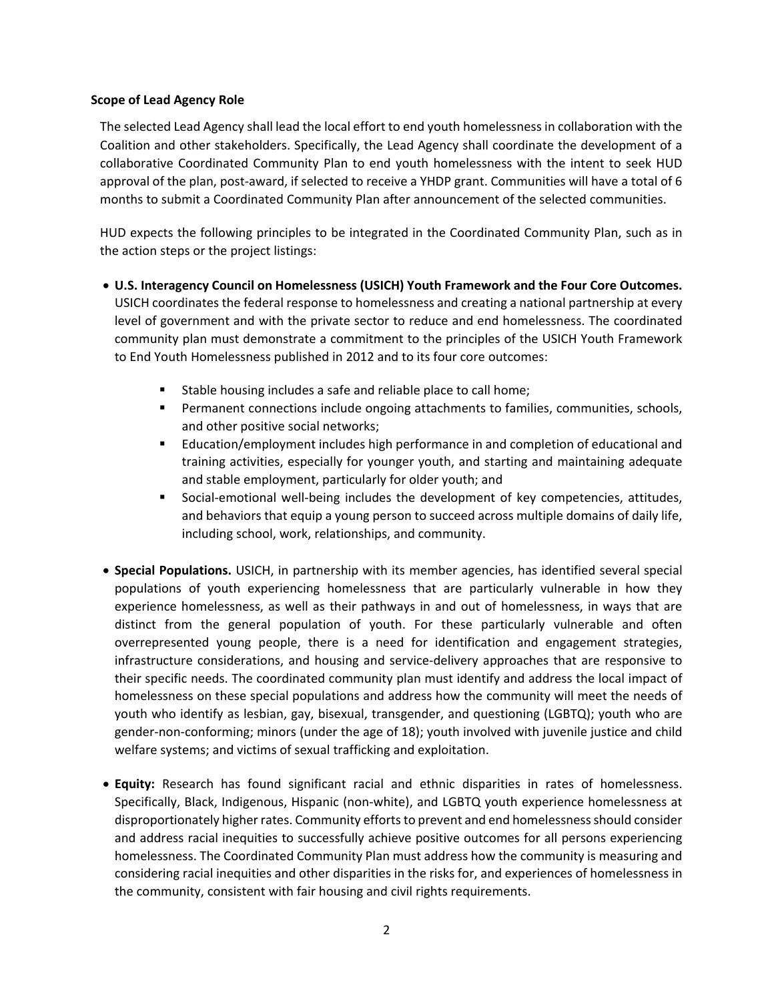#### **Scope of Lead Agency Role**

The selected Lead Agency shall lead the local effort to end youth homelessness in collaboration with the Coalition and other stakeholders. Specifically, the Lead Agency shall coordinate the development of a collaborative Coordinated Community Plan to end youth homelessness with the intent to seek HUD approval of the plan, post-award, if selected to receive a YHDP grant. Communities will have a total of 6 months to submit a Coordinated Community Plan after announcement of the selected communities.

HUD expects the following principles to be integrated in the Coordinated Community Plan, such as in the action steps or the project listings:

- **U.S. Interagency Council on Homelessness (USICH) Youth Framework and the Four Core Outcomes.**  USICH coordinates the federal response to homelessness and creating a national partnership at every level of government and with the private sector to reduce and end homelessness. The coordinated community plan must demonstrate a commitment to the principles of the USICH Youth Framework to End Youth Homelessness published in 2012 and to its four core outcomes:
	- **Stable housing includes a safe and reliable place to call home;**
	- **Permanent connections include ongoing attachments to families, communities, schools,** and other positive social networks;
	- Education/employment includes high performance in and completion of educational and training activities, especially for younger youth, and starting and maintaining adequate and stable employment, particularly for older youth; and
	- Social-emotional well-being includes the development of key competencies, attitudes, and behaviors that equip a young person to succeed across multiple domains of daily life, including school, work, relationships, and community.
- **Special Populations.** USICH, in partnership with its member agencies, has identified several special populations of youth experiencing homelessness that are particularly vulnerable in how they experience homelessness, as well as their pathways in and out of homelessness, in ways that are distinct from the general population of youth. For these particularly vulnerable and often overrepresented young people, there is a need for identification and engagement strategies, infrastructure considerations, and housing and service-delivery approaches that are responsive to their specific needs. The coordinated community plan must identify and address the local impact of homelessness on these special populations and address how the community will meet the needs of youth who identify as lesbian, gay, bisexual, transgender, and questioning (LGBTQ); youth who are gender-non-conforming; minors (under the age of 18); youth involved with juvenile justice and child welfare systems; and victims of sexual trafficking and exploitation.
- **Equity:** Research has found significant racial and ethnic disparities in rates of homelessness. Specifically, Black, Indigenous, Hispanic (non-white), and LGBTQ youth experience homelessness at disproportionately higher rates. Community efforts to prevent and end homelessness should consider and address racial inequities to successfully achieve positive outcomes for all persons experiencing homelessness. The Coordinated Community Plan must address how the community is measuring and considering racial inequities and other disparities in the risks for, and experiences of homelessness in the community, consistent with fair housing and civil rights requirements.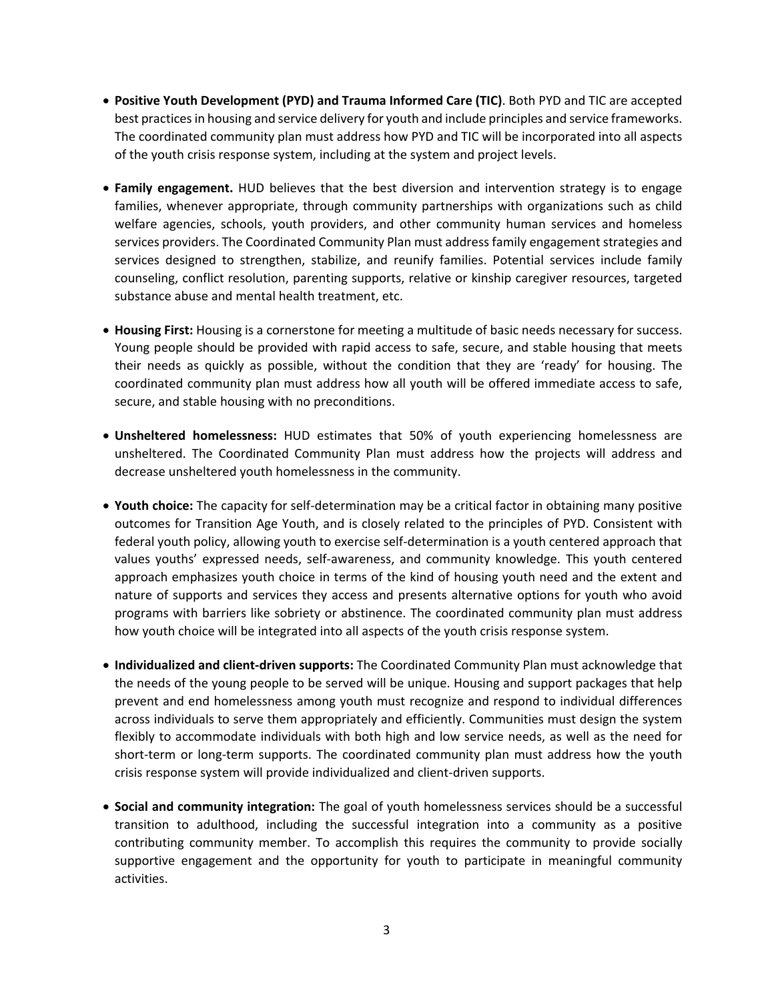- **Positive Youth Development (PYD) and Trauma Informed Care (TIC)**. Both PYD and TIC are accepted best practices in housing and service delivery for youth and include principles and service frameworks. The coordinated community plan must address how PYD and TIC will be incorporated into all aspects of the youth crisis response system, including at the system and project levels.
- **Family engagement.** HUD believes that the best diversion and intervention strategy is to engage families, whenever appropriate, through community partnerships with organizations such as child welfare agencies, schools, youth providers, and other community human services and homeless services providers. The Coordinated Community Plan must address family engagement strategies and services designed to strengthen, stabilize, and reunify families. Potential services include family counseling, conflict resolution, parenting supports, relative or kinship caregiver resources, targeted substance abuse and mental health treatment, etc.
- **Housing First:** Housing is a cornerstone for meeting a multitude of basic needs necessary for success. Young people should be provided with rapid access to safe, secure, and stable housing that meets their needs as quickly as possible, without the condition that they are 'ready' for housing. The coordinated community plan must address how all youth will be offered immediate access to safe, secure, and stable housing with no preconditions.
- **Unsheltered homelessness:** HUD estimates that 50% of youth experiencing homelessness are unsheltered. The Coordinated Community Plan must address how the projects will address and decrease unsheltered youth homelessness in the community.
- **Youth choice:** The capacity for self-determination may be a critical factor in obtaining many positive outcomes for Transition Age Youth, and is closely related to the principles of PYD. Consistent with federal youth policy, allowing youth to exercise self-determination is a youth centered approach that values youths' expressed needs, self-awareness, and community knowledge. This youth centered approach emphasizes youth choice in terms of the kind of housing youth need and the extent and nature of supports and services they access and presents alternative options for youth who avoid programs with barriers like sobriety or abstinence. The coordinated community plan must address how youth choice will be integrated into all aspects of the youth crisis response system.
- **Individualized and client-driven supports:** The Coordinated Community Plan must acknowledge that the needs of the young people to be served will be unique. Housing and support packages that help prevent and end homelessness among youth must recognize and respond to individual differences across individuals to serve them appropriately and efficiently. Communities must design the system flexibly to accommodate individuals with both high and low service needs, as well as the need for short-term or long-term supports. The coordinated community plan must address how the youth crisis response system will provide individualized and client-driven supports.
- **Social and community integration:** The goal of youth homelessness services should be a successful transition to adulthood, including the successful integration into a community as a positive contributing community member. To accomplish this requires the community to provide socially supportive engagement and the opportunity for youth to participate in meaningful community activities.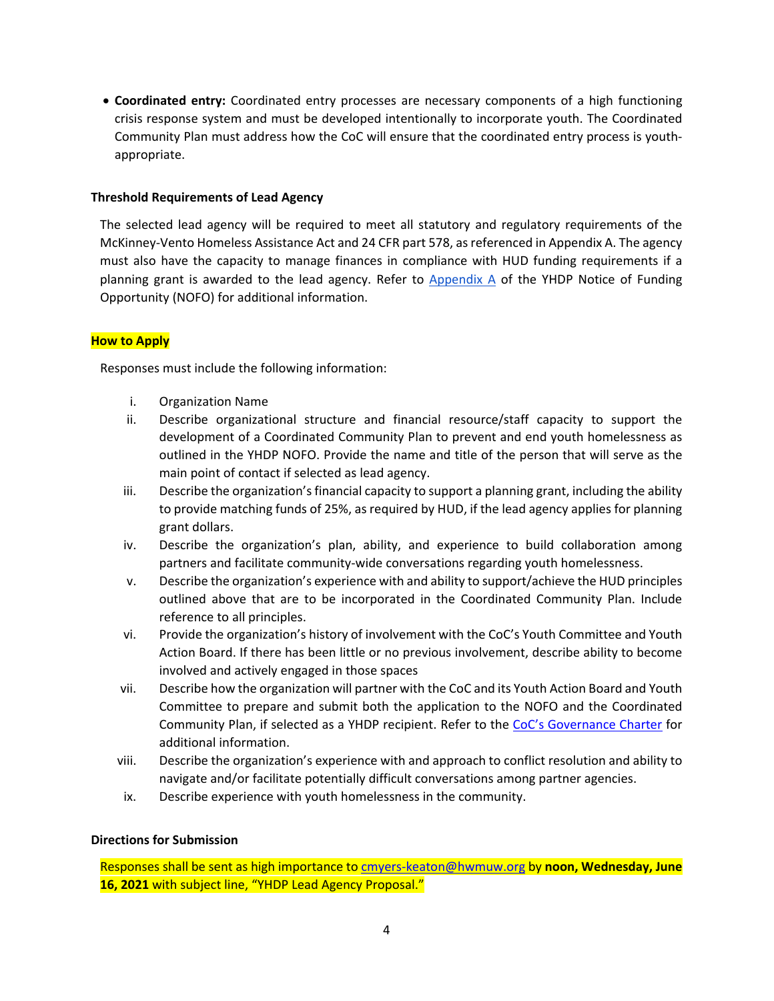• **Coordinated entry:** Coordinated entry processes are necessary components of a high functioning crisis response system and must be developed intentionally to incorporate youth. The Coordinated Community Plan must address how the CoC will ensure that the coordinated entry process is youthappropriate.

### **Threshold Requirements of Lead Agency**

The selected lead agency will be required to meet all statutory and regulatory requirements of the McKinney-Vento Homeless Assistance Act and 24 CFR part 578, as referenced in Appendix A. The agency must also have the capacity to manage finances in compliance with HUD funding requirements if a planning grant is awarded to the lead agency. Refer t[o](https://www.hud.gov/sites/dfiles/CPD/documents/Appendix-A.pdf) [Appendix](https://www.hud.gov/sites/dfiles/CPD/documents/Appendix-A.pdf) A of the YHDP Notice of Funding Opportunity (NOFO) for additional information.

### **How to Apply**

Responses must include the following information:

- i. Organization Name
- ii. Describe organizational structure and financial resource/staff capacity to support the development of a Coordinated Community Plan to prevent and end youth homelessness as outlined in the YHDP NOFO. Provide the name and title of the person that will serve as the main point of contact if selected as lead agency.
- iii. Describe the organization's financial capacity to support a planning grant, including the ability to provide matching funds of 25%, as required by HUD, if the lead agency applies for planning grant dollars.
- iv. Describe the organization's plan, ability, and experience to build collaboration among partners and facilitate community-wide conversations regarding youth homelessness.
- v. Describe the organization's experience with and ability to support/achieve the HUD principles outlined above that are to be incorporated in the Coordinated Community Plan. Include reference to all principles.
- vi. Provide the organization's history of involvement with the CoC's Youth Committee and Youth Action Board. If there has been little or no previous involvement, describe ability to become involved and actively engaged in those spaces
- vii. Describe how the organization will partner with the CoC and its Youth Action Board and Youth Committee to prepare and submit both the application to the NOFO and the Coordinated Community Plan, if selected as a YHDP recipient. Refer to the [CoC's Governance Charter](https://endhomelessnesskent.org/wp-content/uploads/2020/10/2020-CoCGovCharter.pdf) for additional information.
- viii. Describe the organization's experience with and approach to conflict resolution and ability to navigate and/or facilitate potentially difficult conversations among partner agencies.
- ix. Describe experience with youth homelessness in the community.

#### **Directions for Submission**

Responses shall be sent as high importance to [cmyers-keaton@hwmuw.org](mailto:cmyers-keaton@hwmuw.org) by **noon, Wednesday, June 16, 2021** with subject line, "YHDP Lead Agency Proposal."